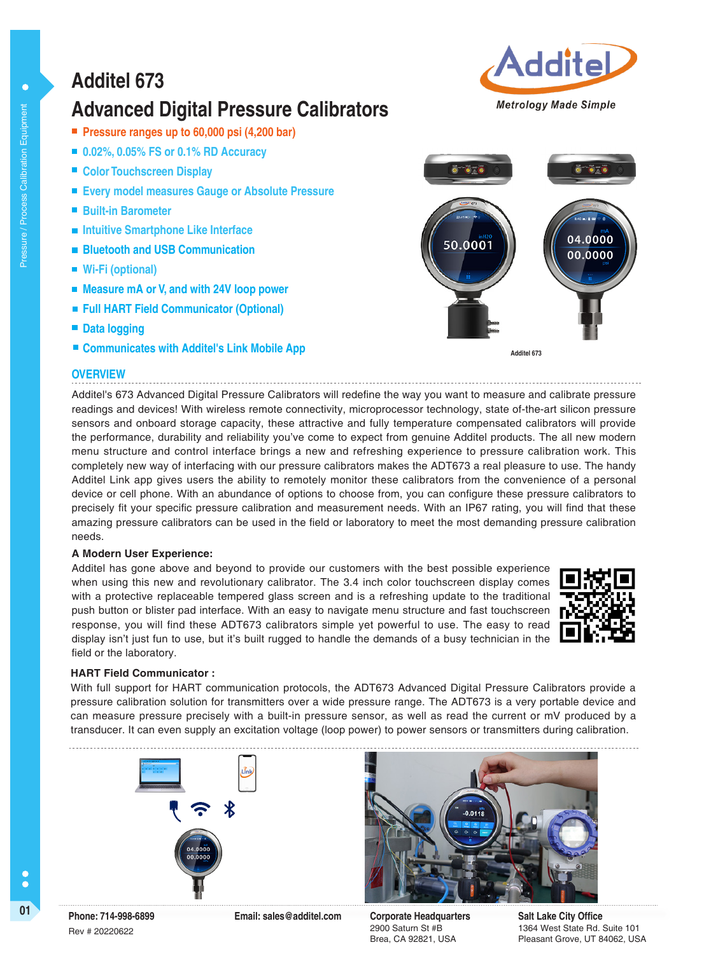## **Additel 673**

## **Advanced Digital Pressure Calibrators**

- **Pressure ranges up to 60,000 psi (4,200 bar)**
- 0.02%, 0.05% FS or 0.1% RD Accuracy
- Color Touchscreen Display
- **Every model measures Gauge or Absolute Pressure**
- **Built-in Barometer**
- **Intuitive Smartphone Like Interface**
- **Bluetooth and USB Communication**
- **Wi-Fi (optional)**
- **Measure mA or V, and with 24V loop power**
- **Full HART Field Communicator (Optional)**
- **Data logging**
- **Example 3 Communicates with Additel's Link Mobile App 4dditel 673**

### **OVERVIEW**

Additel's 673 Advanced Digital Pressure Calibrators will redefine the way you want to measure and calibrate pressure readings and devices! With wireless remote connectivity, microprocessor technology, state of-the-art silicon pressure sensors and onboard storage capacity, these attractive and fully temperature compensated calibrators will provide the performance, durability and reliability you've come to expect from genuine Additel products. The all new modern menu structure and control interface brings a new and refreshing experience to pressure calibration work. This completely new way of interfacing with our pressure calibrators makes the ADT673 a real pleasure to use. The handy Additel Link app gives users the ability to remotely monitor these calibrators from the convenience of a personal device or cell phone. With an abundance of options to choose from, you can configure these pressure calibrators to precisely fit your specific pressure calibration and measurement needs. With an IP67 rating, you will find that these amazing pressure calibrators can be used in the field or laboratory to meet the most demanding pressure calibration needs.

### **A Modern User Experience:**

Additel has gone above and beyond to provide our customers with the best possible experience when using this new and revolutionary calibrator. The 3.4 inch color touchscreen display comes with a protective replaceable tempered glass screen and is a refreshing update to the traditional push button or blister pad interface. With an easy to navigate menu structure and fast touchscreen response, you will find these ADT673 calibrators simple yet powerful to use. The easy to read display isn't just fun to use, but it's built rugged to handle the demands of a busy technician in the field or the laboratory.

## **HART Field Communicator :**

With full support for HART communication protocols, the ADT673 Advanced Digital Pressure Calibrators provide a pressure calibration solution for transmitters over a wide pressure range. The ADT673 is a very portable device and can measure pressure precisely with a built-in pressure sensor, as well as read the current or mV produced by a transducer. It can even supply an excitation voltage (loop power) to power sensors or transmitters during calibration.

2900 Saturn St #B Brea, CA 92821, USA **Salt Lake City Office** 1364 West State Rd. Suite 101 Pleasant Grove, UT 84062, USA









 $\bullet$ 





C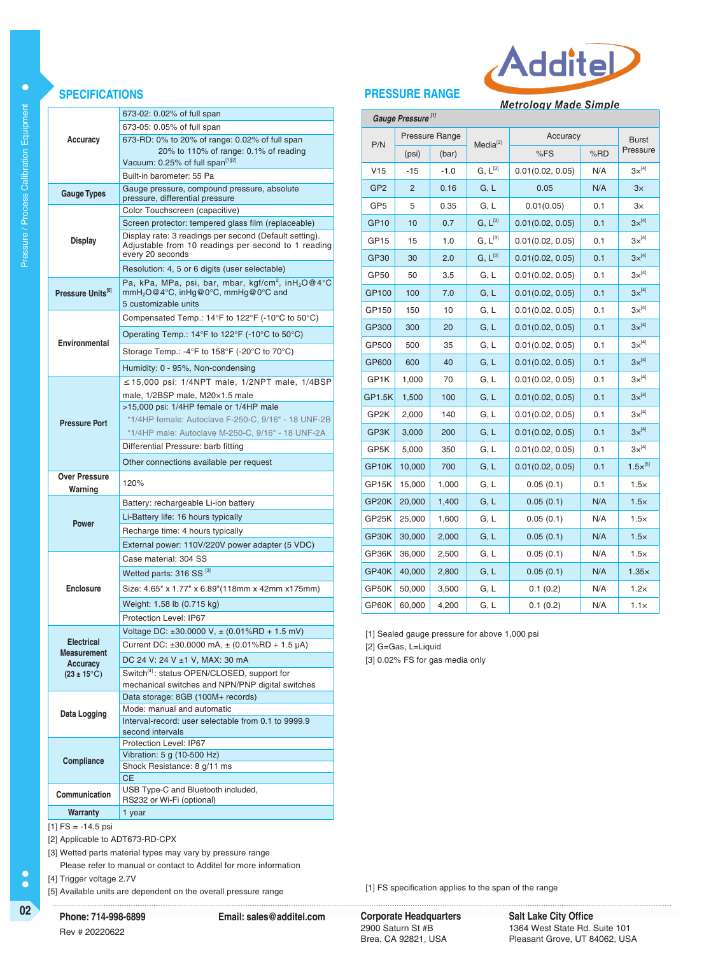

## **SPECIFICATIONS PRESSURE RANGE**

**Metrology Made Simple** 

| Gauge Pressure <sup>[1]</sup> |                |                       |                      |                  |                          |                   |     |  |  |
|-------------------------------|----------------|-----------------------|----------------------|------------------|--------------------------|-------------------|-----|--|--|
|                               |                | <b>Pressure Range</b> | Media <sup>[2]</sup> | Accuracy         | <b>Burst</b><br>Pressure |                   |     |  |  |
| P/N                           | (bar)<br>(psi) |                       |                      | %FS              |                          |                   | %RD |  |  |
| V15                           | $-15$          | $-1.0$                | $G. L^{[3]}$         | 0.01(0.02, 0.05) | N/A                      | $3x^{[4]}$        |     |  |  |
| GP <sub>2</sub>               | 2              | 0.16                  | G, L                 | 0.05             | N/A                      | 3x                |     |  |  |
| GP <sub>5</sub>               | 5              | 0.35                  | G, L                 | 0.01(0.05)       | 0.1                      | З×                |     |  |  |
| <b>GP10</b>                   | 10             | 0.7                   | $G, L^{[3]}$         | 0.01(0.02, 0.05) | 0.1                      | $3x^{[4]}$        |     |  |  |
| GP <sub>15</sub>              | 15             | 1.0                   | $G, L^{[3]}$         | 0.01(0.02, 0.05) | 0.1                      | $3\times^{[4]}$   |     |  |  |
| GP30                          | 30             | 2.0                   | $G, L^{[3]}$         | 0.01(0.02, 0.05) | 0.1                      | $3\times^{[4]}$   |     |  |  |
| GP50                          | 50             | 3.5                   | G, L                 | 0.01(0.02, 0.05) | 0.1                      | $3\times^{[4]}$   |     |  |  |
| GP100                         | 100            | 7.0                   | G, L                 | 0.01(0.02, 0.05) | 0.1                      | $3x^{[4]}$        |     |  |  |
| GP150                         | 150            | 10                    | G, L                 | 0.01(0.02, 0.05) | 0.1                      | $3\times^{[4]}$   |     |  |  |
| GP300                         | 300            | 20                    | G, L                 | 0.01(0.02, 0.05) | 0.1                      | $3x^{[4]}$        |     |  |  |
| GP500                         | 500            | 35                    | G, L                 | 0.01(0.02, 0.05) | 0.1                      | $3x^{[4]}$        |     |  |  |
| GP600                         | 600            | 40                    | G, L                 | 0.01(0.02, 0.05) | 0.1                      | $3x^{[4]}$        |     |  |  |
| GP1K                          | 1,000          | 70                    | G, L                 | 0.01(0.02, 0.05) | 0.1                      | $3\times^{[4]}$   |     |  |  |
| GP1.5K                        | 1,500          | 100                   | G, L                 | 0.01(0.02, 0.05) | 0.1                      | $3x^{[4]}$        |     |  |  |
| GP2K                          | 2,000          | 140                   | G, L                 | 0.01(0.02, 0.05) | 0.1                      | $3\times^{[4]}$   |     |  |  |
| GP3K                          | 3,000          | 200                   | G, L                 | 0.01(0.02, 0.05) | 0.1                      | $3\times^{[4]}$   |     |  |  |
| GP5K                          | 5,000          | 350                   | G, L                 | 0.01(0.02, 0.05) | 0.1                      | $3x^{[4]}$        |     |  |  |
| GP10K                         | 10,000         | 700                   | G, L                 | 0.01(0.02, 0.05) | 0.1                      | $1.5\times^{[5]}$ |     |  |  |
| GP15K                         | 15,000         | 1,000                 | G, L                 | 0.05(0.1)        | 0.1                      | $1.5\times$       |     |  |  |
| GP20K                         | 20,000         | 1,400                 | G, L                 | 0.05(0.1)<br>N/A |                          | $1.5\times$       |     |  |  |
| GP25K                         | 25,000         | 1,600                 | G, L                 | 0.05(0.1)        | N/A                      | $1.5\times$       |     |  |  |
| GP30K                         | 30,000         | 2,000                 | G, L                 | 0.05(0.1)        | N/A                      | $1.5\times$       |     |  |  |
| GP36K                         | 36,000         | 2,500                 | G, L                 | 0.05(0.1)        | N/A                      | $1.5\times$       |     |  |  |
| GP40K                         | 40,000         | 2,800                 | G, L                 | 0.05(0.1)        | N/A                      | $1.35\times$      |     |  |  |
| GP50K                         | 50,000         | 3,500                 | G, L                 | 0.1(0.2)         | N/A                      | $1.2\times$       |     |  |  |
| GP60K                         | 60,000         | 4,200                 | G, L                 | 0.1(0.2)         | N/A                      | $1.1\times$       |     |  |  |

[1] Sealed gauge pressure for above 1,000 psi [2] G=Gas, L=Liquid

[3] 0.02% FS for gas media only

| $[1]$ FS = -14.5 psi |
|----------------------|
| [2] Annlicable to A  |

to ADT673-RD-CPX [3] Wetted parts material types may vary by pressure range

**CE** 

Please refer to manual or contact to Additel for more information

**Phone: 714-998-6899 Email: sales@additel.com**

[4] Trigger voltage 2.7V

**Warranty** 1 year

[5] Available units are dependent on the overall pressure range

 $\bullet$ 

**Accuracy**

**Display**

**Pressure Units[5]**

**Environmental**

**Pressure Port**

**Over Pressure Warning**

**Power**

**Enclosure**

**Electrical Measurement Accuracy (23 ± 15**°C)

**Data Logging**

**Compliance**

120%

673-02: 0.02% of full span 673-05: 0.05% of full span

Vacuum: 0.25% of full span[1][2] Built-in barometer: 55 Pa

Gauge Types **Gauge pressure, compound pressure, absolute** pressure, differential pressure

Color Touchscreen (capacitive)

every 20 seconds

5 customizable units

673-RD: 0% to 20% of range: 0.02% of full span 20% to 110% of range: 0.1% of reading

Screen protector: tempered glass film (replaceable) Display rate: 3 readings per second (Default setting). Adjustable from 10 readings per second to 1 reading

Pa, kPa, MPa, psi, bar, mbar, kgf/cm<sup>2</sup>, inH<sub>2</sub>O@4°C

≤15,000 psi: 1/4NPT male, 1/2NPT male, 1/4BSP

 \*1/4HP female: Autoclave F-250-C, 9/16" - 18 UNF-2B \*1/4HP male: Autoclave M-250-C, 9/16" - 18 UNF-2A

External power: 110V/220V power adapter (5 VDC)

Size: 4.65" x 1.77" x 6.89"(118mm x 42mm x175mm)

Voltage DC: ±30.0000 V, ± (0.01%RD + 1.5 mV) Current DC:  $\pm 30.0000$  mA,  $\pm (0.01\%$ RD + 1.5  $\mu$ A)

Switch<sup>[4]</sup>: status OPEN/CLOSED, support for mechanical switches and NPN/PNP digital switches

Interval-record: user selectable from 0.1 to 9999.9

Compensated Temp.: 14°F to 122°F (-10°C to 50°C) Operating Temp.: 14°F to 122°F (-10°C to 50°C) Storage Temp.: -4°F to 158°F (-20°C to 70°C)

Resolution: 4, 5 or 6 digits (user selectable)

mmH2O@4°C, inHg@0°C, mmHg@0°C and

Humidity: 0 - 95%, Non-condensing

male, 1/2BSP male, M20×1.5 male >15,000 psi: 1/4HP female or 1/4HP male

Differential Pressure: barb fitting Other connections available per request

Battery: rechargeable Li-ion battery Li-Battery life: 16 hours typically Recharge time: 4 hours typically

Case material: 304 SS Wetted parts: 316 SS<sup>[3]</sup>

Weight: 1.58 lb (0.715 kg) Protection Level: IP67

DC 24 V: 24 V ±1 V, MAX: 30 mA

Data storage: 8GB (100M+ records) Mode: manual and automatic

second intervals

Protection Level: IP67 Vibration: 5 g (10-500 Hz) Shock Resistance: 8 g/11 ms

**Communication** USB Type-C and Bluetooth included, RS232 or Wi-Fi (optional)

**02 COVERT CORPORATE: COVERTIGATE: COVERTIGATE: COVERTIGATE: COVERTIGATE: COVERTIGATE: COVERTIGATE: COVERTIGATE: COVERTIGATE: COVERTIGATE: COVERTIGATE: COVERTIGATE: COVERTIGATE: COVERTIGATE:** 2900 Saturn St #B Brea, CA 92821, USA

[1] FS specification applies to the span of the range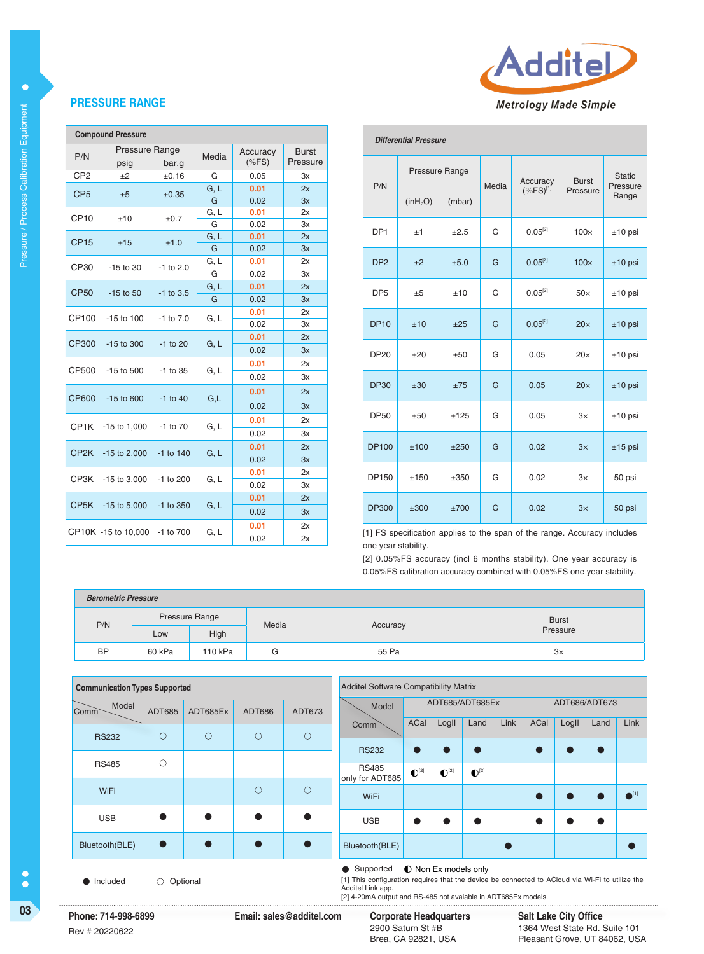

## **PRESSURE RANGE**

| <b>Compound Pressure</b> |                       |               |       |          |              |  |  |
|--------------------------|-----------------------|---------------|-------|----------|--------------|--|--|
|                          | <b>Pressure Range</b> |               | Media | Accuracy | <b>Burst</b> |  |  |
| P/N                      | psig                  | bar.g         |       | $(*FS)$  | Pressure     |  |  |
| CP <sub>2</sub>          | ±2                    | ±0.16         | G     | 0.05     | 3x           |  |  |
| CP <sub>5</sub>          | ±5                    | $\pm 0.35$    | G, L  | 0.01     | 2x           |  |  |
|                          |                       |               | G     | 0.02     | 3x           |  |  |
| CP <sub>10</sub>         | ±10                   | ±0.7          | G, L  | 0.01     | 2x           |  |  |
|                          |                       |               | G     | 0.02     | 3x           |  |  |
| <b>CP15</b>              | ±15                   | ±1.0          | G, L  | 0.01     | 2x           |  |  |
|                          |                       |               | G     | 0.02     | 3x           |  |  |
| CP30                     | -15 to 30             | $-1$ to 2.0   | G, L  | 0.01     | 2x           |  |  |
|                          |                       |               | G     | 0.02     | 3x           |  |  |
| <b>CP50</b>              | $-15$ to 50           | $-1$ to 3.5   | G, L  | 0.01     | 2x           |  |  |
|                          |                       |               | G     | 0.02     | 3x           |  |  |
| CP100                    | $-15$ to $100$        | $-1$ to $7.0$ | G, L  | 0.01     | 2x           |  |  |
|                          |                       |               |       | 0.02     | 3x           |  |  |
| CP300                    | $-15$ to 300          | $-1$ to 20    | G, L  | 0.01     | 2x           |  |  |
|                          |                       |               |       | 0.02     | 3x           |  |  |
| CP500                    | $-15$ to $500$        | $-1$ to 35    | G, L  | 0.01     | 2x           |  |  |
|                          |                       |               |       | 0.02     | 3x           |  |  |
| <b>CP600</b>             | $-15$ to 600          | $-1$ to 40    | G,L   | 0.01     | 2x           |  |  |
|                          |                       |               |       | 0.02     | 3x           |  |  |
| CP <sub>1</sub> K        | $-15$ to $1,000$      | $-1$ to $70$  | G, L  | 0.01     | 2x           |  |  |
|                          |                       |               |       | 0.02     | 3x           |  |  |
|                          |                       |               |       | 0.01     | 2x           |  |  |
| CP <sub>2</sub> K        | $-15$ to 2,000        | $-1$ to 140   | G, L  | 0.02     | 3x           |  |  |
| CP3K                     |                       | -1 to 200     |       | 0.01     | 2x           |  |  |
|                          | $-15$ to $3,000$      |               | G, L  | 0.02     | 3x           |  |  |
|                          |                       |               |       | 0.01     | 2x           |  |  |
| CP <sub>5</sub> K        | $-15$ to $5,000$      | -1 to 350     | G, L  | 0.02     | 3x           |  |  |
|                          |                       |               |       | 0.01     | 2x           |  |  |
|                          | CP10K -15 to 10,000   | -1 to 700     | G, L  | 0.02     | 2x           |  |  |

| <b>Differential Pressure</b> |                      |        |       |                         |              |                                    |  |  |
|------------------------------|----------------------|--------|-------|-------------------------|--------------|------------------------------------|--|--|
| P/N                          | Pressure Range       |        | Media | Accuracy                | <b>Burst</b> | <b>Static</b><br>Pressure<br>Range |  |  |
|                              | (inH <sub>2</sub> O) | (mbar) |       | $(*$ FS) <sup>[1]</sup> | Pressure     |                                    |  |  |
| DP <sub>1</sub>              | ±1                   | ±2.5   | G     | $0.05^{[2]}$            | $100\times$  | $±10$ psi                          |  |  |
| DP <sub>2</sub>              | $+2$                 | ±5.0   | G     | $0.05^{[2]}$            | $100\times$  | $±10$ psi                          |  |  |
| DP <sub>5</sub>              | ±5                   | ±10    | G     | $0.05^{[2]}$            | $50\times$   | $±10$ psi                          |  |  |
| <b>DP10</b>                  | ±10                  | $+25$  | G     | $0.05^{[2]}$            | $20\times$   | $±10$ psi                          |  |  |
| <b>DP20</b>                  | ±20                  | ±50    | G     | 0.05                    | $20\times$   | $±10$ psi                          |  |  |
| <b>DP30</b>                  | $+30$                | ±75    | G     | 0.05                    | 20x          | $±10$ psi                          |  |  |
| <b>DP50</b>                  | ±50                  | ±125   | G     | 0.05                    | 3x           | $±10$ psi                          |  |  |
| <b>DP100</b>                 | ±100                 | ±250   | G     | 0.02                    | 3x           | $±15$ psi                          |  |  |
| <b>DP150</b>                 | ±150                 | ±350   | G     | 0.02                    | 3x           | 50 psi                             |  |  |
| <b>DP300</b>                 | ±300                 | ±700   | G     | 0.02                    | 3x           | 50 psi                             |  |  |

[1] FS specification applies to the span of the range. Accuracy includes one year stability.

[2] 0.05%FS accuracy (incl 6 months stability). One year accuracy is 0.05%FS calibration accuracy combined with 0.05%FS one year stability.

| <b>Barometric Pressure</b> |                |         |       |          |              |  |  |
|----------------------------|----------------|---------|-------|----------|--------------|--|--|
| P/N                        | Pressure Range |         | Media | Accuracy | <b>Burst</b> |  |  |
|                            | Low            | High    |       |          | Pressure     |  |  |
| <b>BP</b>                  | 60 kPa         | 110 kPa | G     | 55 Pa    | $3\times$    |  |  |

| <b>Communication Types Supported</b> |                |            |            |               | <b>Additel Software Compatibility Matrix</b> |                                 |                    |                             |                    |      |      |       |               |                          |
|--------------------------------------|----------------|------------|------------|---------------|----------------------------------------------|---------------------------------|--------------------|-----------------------------|--------------------|------|------|-------|---------------|--------------------------|
|                                      | Model<br>Comm  | ADT685     | ADT685Ex   | <b>ADT686</b> | ADT673                                       | Model                           |                    | ADT685/ADT685Ex             |                    |      |      |       | ADT686/ADT673 |                          |
|                                      | <b>RS232</b>   | $\bigcirc$ | $\bigcirc$ | $\circ$       | $\bigcirc$                                   | <b>Comm</b>                     | ACal               | LogII                       | Land               | Link | ACal | LogII | Land          | Link                     |
|                                      |                |            |            |               |                                              | <b>RS232</b>                    | 0                  |                             |                    |      |      |       | $\bullet$     |                          |
|                                      | <b>RS485</b>   | C          |            |               |                                              | <b>RS485</b><br>only for ADT685 | $\mathbb{O}^{[2]}$ | $\mathbf{O}^{[2]}$          | $\mathbf{O}^{[2]}$ |      |      |       |               |                          |
|                                      | WiFi           |            |            | $\bigcirc$    | $\bigcirc$                                   | WiFi                            |                    |                             |                    |      |      |       |               | $\bullet$ <sup>[1]</sup> |
|                                      | <b>USB</b>     | $\bullet$  | $\bullet$  | $\bullet$     |                                              | <b>USB</b>                      |                    |                             |                    |      |      |       |               |                          |
|                                      | Bluetooth(BLE) | $\bullet$  |            | $\bullet$     | $\bullet$                                    | Bluetooth(BLE)                  |                    |                             |                    |      |      |       |               |                          |
|                                      |                |            |            |               |                                              | • Supported                     |                    | <b>O</b> Non Ex models only |                    |      |      |       |               |                          |

 $\bullet$  Included  $\circ$  Optional

[1] This configuration requires that the device be connected to ACloud via Wi-Fi to utilize the

Additel Link app. [2] 4-20mA output and RS-485 not avaiable in ADT685Ex models.

**03 Corporate Headquarters Phone: 714-998-6899 Email: sales@additel.com**

**Salt Lake City Office** 1364 West State Rd. Suite 101 Pleasant Grove, UT 84062, USA

 $\bullet$